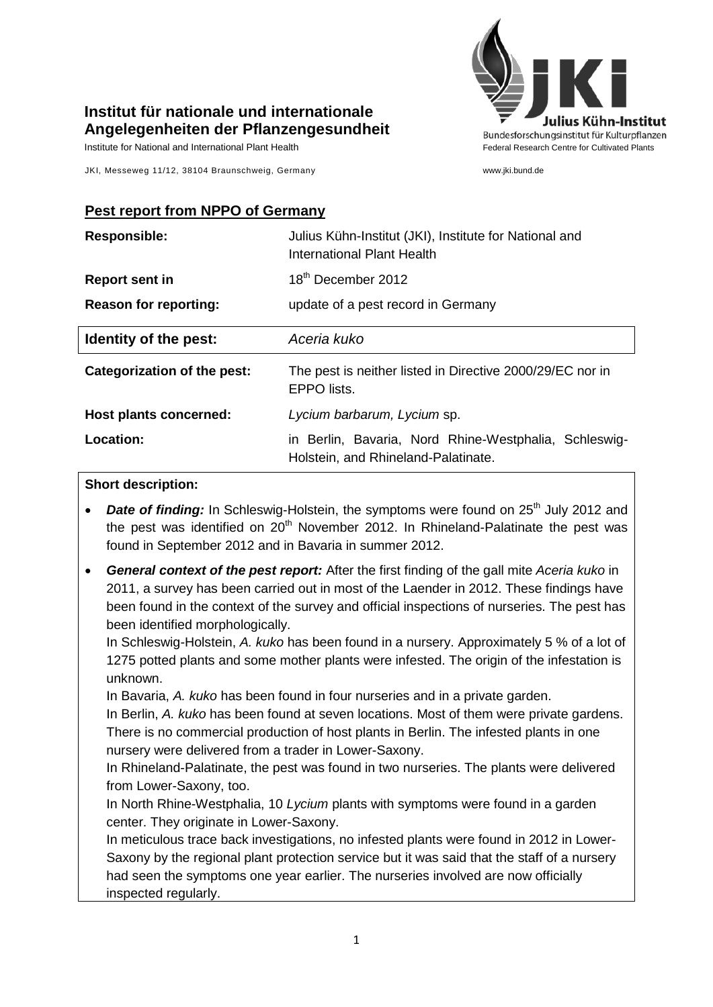

## **Institut für nationale und internationale Angelegenheiten der Pflanzengesundheit**

Institute for National and International Plant Health Federal Research Centre for Cultivated Plants

JKI, Messeweg 11/12, 38104 Braunschweig, Germany www.jki.bund.de

## **Pest report from NPPO of Germany**

| <b>Responsible:</b>          | Julius Kühn-Institut (JKI), Institute for National and<br>International Plant Health |
|------------------------------|--------------------------------------------------------------------------------------|
| <b>Report sent in</b>        | 18 <sup>th</sup> December 2012                                                       |
| <b>Reason for reporting:</b> | update of a pest record in Germany                                                   |
| Identity of the pest:        | Aceria kuko                                                                          |
| Categorization of the pest:  |                                                                                      |
|                              | The pest is neither listed in Directive 2000/29/EC nor in<br>EPPO lists.             |
| Host plants concerned:       | Lycium barbarum, Lycium sp.                                                          |

## **Short description:**

- **Date of finding:** In Schleswig-Holstein, the symptoms were found on 25<sup>th</sup> July 2012 and the pest was identified on  $20<sup>th</sup>$  November 2012. In Rhineland-Palatinate the pest was found in September 2012 and in Bavaria in summer 2012.
- *General context of the pest report:* After the first finding of the gall mite *Aceria kuko* in 2011, a survey has been carried out in most of the Laender in 2012. These findings have been found in the context of the survey and official inspections of nurseries. The pest has been identified morphologically.

In Schleswig-Holstein, *A. kuko* has been found in a nursery. Approximately 5 % of a lot of 1275 potted plants and some mother plants were infested. The origin of the infestation is unknown.

In Bavaria, *A. kuko* has been found in four nurseries and in a private garden.

In Berlin, *A. kuko* has been found at seven locations. Most of them were private gardens. There is no commercial production of host plants in Berlin. The infested plants in one nursery were delivered from a trader in Lower-Saxony.

In Rhineland-Palatinate, the pest was found in two nurseries. The plants were delivered from Lower-Saxony, too.

In North Rhine-Westphalia, 10 *Lycium* plants with symptoms were found in a garden center. They originate in Lower-Saxony.

In meticulous trace back investigations, no infested plants were found in 2012 in Lower-Saxony by the regional plant protection service but it was said that the staff of a nursery had seen the symptoms one year earlier. The nurseries involved are now officially inspected regularly.